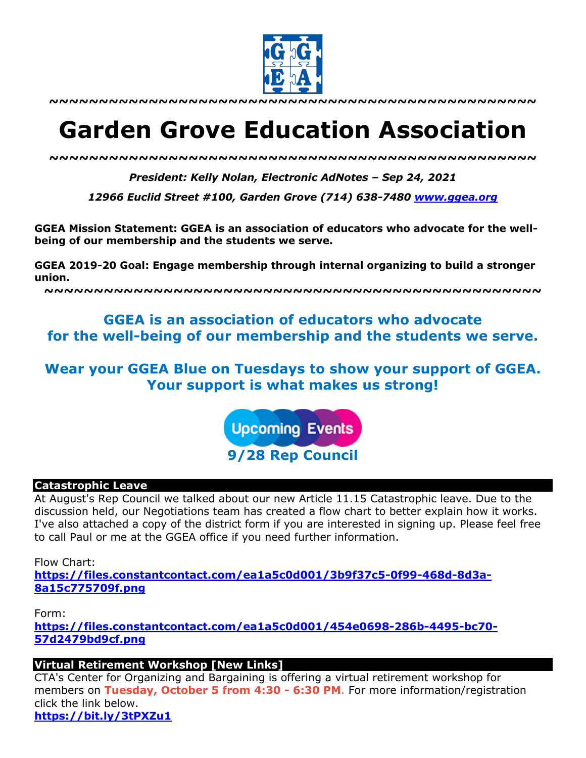

**~~~~~~~~~~~~~~~~~~~~~~~~~~~~~~~~~~~~~~~~~~~~~~~~~**

# **Garden Grove Education Association**

*~~~~~~~~~~~~~~~~~~~~~~~~~~~~~~~~~~~~~~~~~~~~~~~~~*

*President: Kelly Nolan, Electronic AdNotes – Sep 24, 2021*

*12966 Euclid Street #100, Garden Grove (714) 638-7480 www.ggea.org*

**GGEA Mission Statement: GGEA is an association of educators who advocate for the wellbeing of our membership and the students we serve.** 

**GGEA 2019-20 Goal: Engage membership through internal organizing to build a stronger union.**

**~~~~~~~~~~~~~~~~~~~~~~~~~~~~~~~~~~~~~~~~~~~~~~~~~~**

# **GGEA is an association of educators who advocate for the well-being of our membership and the students we serve.**

# **Wear your GGEA Blue on Tuesdays to show your support of GGEA. Your support is what makes us strong!**

**Upcoming Events** 

**9/28 Rep Council**

#### **Catastrophic Leave**

At August's Rep Council we talked about our new Article 11.15 Catastrophic leave. Due to the discussion held, our Negotiations team has created a flow chart to better explain how it works. I've also attached a copy of the district form if you are interested in signing up. Please feel free to call Paul or me at the GGEA office if you need further information.

Flow Chart: **https://files.constantcontact.com/ea1a5c0d001/3b9f37c5-0f99-468d-8d3a-8a15c775709f.png**

Form: **https://files.constantcontact.com/ea1a5c0d001/454e0698-286b-4495-bc70- 57d2479bd9cf.png**

**Virtual Retirement Workshop [New Links]**

CTA's Center for Organizing and Bargaining is offering a virtual retirement workshop for members on **Tuesday, October 5 from 4:30 - 6:30 PM**. For more information/registration click the link below. **https://bit.ly/3tPXZu1**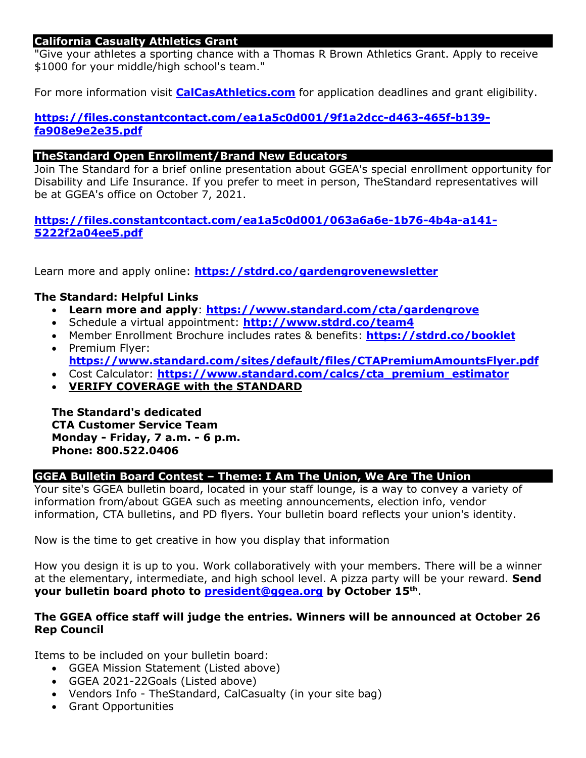# **California Casualty Athletics Grant**

"Give your athletes a sporting chance with a Thomas R Brown Athletics Grant. Apply to receive \$1000 for your middle/high school's team."

For more information visit **CalCasAthletics.com** for application deadlines and grant eligibility.

# **https://files.constantcontact.com/ea1a5c0d001/9f1a2dcc-d463-465f-b139 fa908e9e2e35.pdf**

# **TheStandard Open Enrollment/Brand New Educators**

Join The Standard for a brief online presentation about GGEA's special enrollment opportunity for Disability and Life Insurance. If you prefer to meet in person, TheStandard representatives will be at GGEA's office on October 7, 2021.

**https://files.constantcontact.com/ea1a5c0d001/063a6a6e-1b76-4b4a-a141- 5222f2a04ee5.pdf**

Learn more and apply online: **https://stdrd.co/gardengrovenewsletter**

# **The Standard: Helpful Links**

- **Learn more and apply**: **https://www.standard.com/cta/gardengrove**
- Schedule a virtual appointment: **http://www.stdrd.co/team4**
- Member Enrollment Brochure includes rates & benefits: **https://stdrd.co/booklet**
- Premium Flyer: **https://www.standard.com/sites/default/files/CTAPremiumAmountsFlyer.pdf**
- Cost Calculator: **https://www.standard.com/calcs/cta\_premium\_estimator**
- **VERIFY COVERAGE with the STANDARD**

**The Standard's dedicated CTA Customer Service Team Monday - Friday, 7 a.m. - 6 p.m. Phone: 800.522.0406**

# **GGEA Bulletin Board Contest – Theme: I Am The Union, We Are The Union**

Your site's GGEA bulletin board, located in your staff lounge, is a way to convey a variety of information from/about GGEA such as meeting announcements, election info, vendor information, CTA bulletins, and PD flyers. Your bulletin board reflects your union's identity.

Now is the time to get creative in how you display that information

How you design it is up to you. Work collaboratively with your members. There will be a winner at the elementary, intermediate, and high school level. A pizza party will be your reward. **Send your bulletin board photo to president@ggea.org by October 15th**.

## **The GGEA office staff will judge the entries. Winners will be announced at October 26 Rep Council**

Items to be included on your bulletin board:

- GGEA Mission Statement (Listed above)
- GGEA 2021-22Goals (Listed above)
- Vendors Info TheStandard, CalCasualty (in your site bag)
- Grant Opportunities